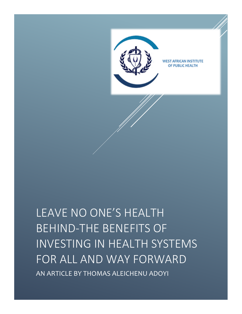

LEAVE NO ONE'S HEALTH BEHIND-THE BENEFITS OF INVESTING IN HEALTH SYSTEMS FOR ALL AND WAY FORWARD AN ARTICLE BY THOMAS ALEICHENU ADOYI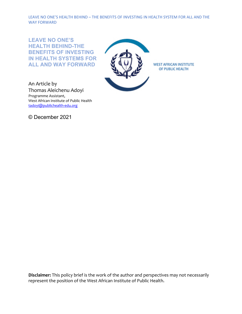**LEAVE NO ONE'S HEALTH BEHIND-THE BENEFITS OF INVESTING IN HEALTH SYSTEMS FOR ALL AND WAY FORWARD**



An Article by Thomas Aleichenu Adoyi Programme Assistant, West African Institute of Public Health [tadoyi@publichealth-edu.org](mailto:tadoyi@publichealth-edu.org) 

© December 2021

**Disclaimer:** This policy brief is the work of the author and perspectives may not necessarily represent the position of the West African Institute of Public Health.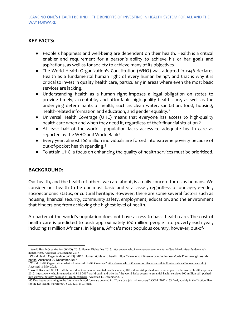# **KEY FACTS:**

- People's happiness and well-being are dependent on their health. Health is a critical enabler and requirement for a person's ability to achieve his or her goals and aspirations, as well as for society to achieve many of its objectives.
- The World Health Organization's Constitution (WHO) was adopted in 1946 declares Health as a fundamental human right of every human being<sup>1</sup>, and that is why it is critical to invest in quality health care, particularly in areas where even the most basic services are lacking.
- Understanding health as a human right imposes a legal obligation on states to provide timely, acceptable, and affordable high-quality health care, as well as the underlying determinants of health, such as clean water, sanitation, food, housing, health-related information and education, and gender equality.<sup>[2](#page-2-1)</sup>
- Universal Health Coverage (UHC) means that everyone has access to high-quality health care when and when they need it, regardless of their financial situation.<sup>[3](#page-2-2)</sup>
- At least half of the world's population lacks access to adequate health care as reported by the WHO and World Bank[4](#page-2-3)
- Every year, almost 100 million individuals are forced into extreme poverty because of out-of-pocket health spending.<sup>[5](#page-2-4)</sup>
- To attain UHC, a focus on enhancing the quality of health services must be prioritized.

# **BACKGROUND:**

Our health, and the health of others we care about, is a daily concern for us as humans. We consider our health to be our most basic and vital asset, regardless of our age, gender, socioeconomic status, or cultural heritage. However, there are some several factors such as housing, financial security, community safety, employment, education, and the environment that hinders one from achieving the highest level of health.

A quarter of the world's population does not have access to basic health care. The cost of health care is predicted to push approximately 100 million people into poverty each year, including 11 million Africans. In Nigeria, Africa's most populous country, however, out-of-

<span id="page-2-0"></span> $\overline{a}$ <sup>1</sup> World Health Organization (WHO). 2017. Human Rights Day 2017[. https://www.who.int/news-room/commentaries/detail/health-is-a-fundamental](https://www.who.int/news-room/commentaries/detail/health-is-a-fundamental-human-right)[human-right.](https://www.who.int/news-room/commentaries/detail/health-is-a-fundamental-human-right) Accessed 10 December 2017

<span id="page-2-1"></span><sup>&</sup>lt;sup>2</sup> World Health Organization (WHO). 2017. Human rights and health. [https://www.who.int/news-room/fact-sheets/detail/human-rights-and](https://www.who.int/news-room/fact-sheets/detail/human-rights-and-health)[health.](https://www.who.int/news-room/fact-sheets/detail/human-rights-and-health) Accessed 29 December 2017

<span id="page-2-2"></span><sup>&</sup>lt;sup>3</sup> World Health Organization, what is Universal Health Coverage? https://www.who.int/news-room/fact-sheets/detail/universal-health-coverage-(uhc). Accessed 16 May 2021.

<span id="page-2-3"></span><sup>4</sup> World Bank and WHO: Half the world lacks access to essential health services, 100 million still pushed into extreme poverty because of health expenses. 2017[. https://www.who.int/news/item/13-12-2017-world-bank-and-who-half-the-world-lacks-access-to-essential-health-services-100-million-still-pushed](https://www.who.int/news/item/13-12-2017-world-bank-and-who-half-the-world-lacks-access-to-essential-health-services-100-million-still-pushed-into-extreme-poverty-because-of-health-expenses)[into-extreme-poverty-because-of-health-expenses.](https://www.who.int/news/item/13-12-2017-world-bank-and-who-half-the-world-lacks-access-to-essential-health-services-100-million-still-pushed-into-extreme-poverty-because-of-health-expenses) Accessed 13 December 2017

<span id="page-2-4"></span><sup>5</sup> 47 Key issues pertaining to the future health workforce are covered in: "Towards a job rich recovery", COM (2012) 173 final, notably in the "Action Plan for the EU Health Workforce", SWD (2012) 93 final.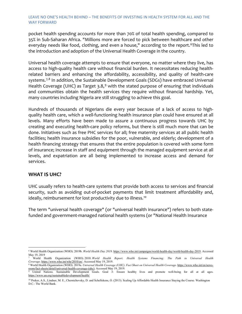pocket health spending accounts for more than 70% of total health spending, compared to 35% in Sub-Saharan Africa. "Millions more are forced to pick between healthcare and other everyday needs like food, clothing, and even a house," according to the report.<sup>[6](#page-3-0)</sup>This led to the introduction and adoption of the Universal Health Coverage in the country.

Universal health coverage attempts to ensure that everyone, no matter where they live, has access to high-quality health care without financial burden. It necessitates reducing healthrelated barriers and enhancing the affordability, accessibility, and quality of health-care systems.<sup>[7](#page-3-1),[8](#page-3-2)</sup> In addition, the Sustainable Development Goals (SDGs) have embraced Universal Health Coverage (UHC) as Target 3.8,<sup>[9](#page-3-3)</sup> with the stated purpose of ensuring that individuals and communities obtain the health services they require without financial hardship. Yet, many countries including Nigeria are still struggling to achieve this goal.

Hundreds of thousands of Nigerians die every year because of a lack of access to highquality health care, which a well-functioning health insurance plan could have ensured at all levels. Many efforts have been made to assure a continuous progress towards UHC by creating and executing health-care policy reforms, but there is still much more that can be done. Initiatives such as free PHC services for all; free maternity services at all public health facilities; health insurance subsidies for the poor, vulnerable, and elderly; development of a health financing strategy that ensures that the entire population is covered with some form of insurance; increase in staff and equipment through the managed equipment service at all levels, and expatriation are all being implemented to increase access and demand for services.

### **WHAT IS UHC?**

UHC usually refers to health-care systems that provide both access to services and financial security, such as avoiding out-of-pocket payments that limit treatment affordability and, ideally, reimbursement for lost productivity due to illness.<sup>[1](#page-3-4)0</sup>

The term "universal health coverage" (or "universal health insurance") refers to both statefunded and government-managed national health systems (or "National Health Insurance

<span id="page-3-0"></span> $\overline{a}$ <sup>6</sup> World Health Organization (WHO). 2019b. *World Health Day 2019*[. https://www.who.int/campaigns/world-health-day/world-health-day-2019.](https://www.who.int/campaigns/world-health-day/world-health-day-2019) Accessed May 19, 2019

<span id="page-3-1"></span><sup>7</sup> World Health Organization (WHO). 2010. *World Health Report. Health Systems Financing: The Path to Universal Health Coverage*[. https://www.who.int/whr/2010/en/.](https://www.who.int/whr/2010/en/) Accessed May 19, 2019.

<span id="page-3-2"></span><sup>8</sup> World Health Organization (WHO). 2019a. *Universal Health Coverage (UHC). Fact Sheet on Universal Health Coverage*[. https://www.who.int/en/news](https://www.who.int/en/news-room/fact-sheets/detail/universal-health-coverage-(uhc))[room/fact-sheets/detail/universal-health-coverage-\(uhc\).](https://www.who.int/en/news-room/fact-sheets/detail/universal-health-coverage-(uhc)) Accessed May 19, 2019. <sup>9</sup> United Nations. Sustainable Development Goals. Goal 3: Ensure healthy lives and promote well-being for all at all ages.

<span id="page-3-3"></span><https://www.un.org/sustainabledevelopment/health/>

<span id="page-3-4"></span><sup>&</sup>lt;sup>10</sup> Preker, A.S., Lindner, M. E., Chernichovsky, D. and Schellekens, O. (2013). Scaling Up Affordable Health Insurance Staying the Course. Washington D.C.: The World Bank.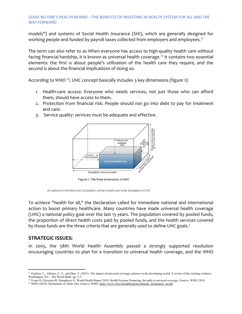models") and systems of Social Health Insurance (SHI), which are generally designed for working people and funded by payroll taxes collected from employers and employees.<sup>[1](#page-4-0)1</sup>

The term can also refer to as When everyone has access to high-quality health care without facing financial hardship, it is known as universal health coverage.<sup>[12](#page-4-1)</sup> It contains two essential elements: the first is about people's utilization of the health care they require, and the second is about the financial implications of doing so.

According to WHO <sup>[1](#page-4-2)3</sup>, UHC concept basically includes 3 key dimensions (figure 1):

- 1. Health-care access: Everyone who needs services, not just those who can afford them, should have access to them.
- 2. Protection from financial risk: People should not go into debt to pay for treatment and care.
- 3. Service quality: services must be adequate and effective.



Figure 1: The three dimensions of UHC

As captured in the Alma-Ata Declaration, primary health care is the foundation of UHC.

To achieve "health for all," the Declaration called for immediate national and international action to boost primary healthcare. Many countries have made universal health coverage (UHC) a national policy goal over the last 15 years. The population covered by pooled funds, the proportion of direct health costs paid by pooled funds, and the health services covered by those funds are the three criteria that are generally used to define UHC goals.<sup>1</sup>

# **STRATEGIC ISSUES:**

In 2005, the 58th World Health Assembly passed a strongly supported resolution encouraging countries to plan for a transition to universal health coverage, and the WHO

<span id="page-4-0"></span> $\overline{a}$ <sup>11</sup> Giedion, U., Alfonso, E. A., and Díaz, Y. (2013). The impact of universal coverage schemes in the developing world: A review of the existing evidence. Washington, D.C.: The World Bank. pp. 2-5.

 $12$  Evans D, Elovainio R, Humphreys G. World Health Report 2010. Health Systems Financing: the path to universal coverage. Geneva: WHO; 2010

<span id="page-4-2"></span><span id="page-4-1"></span><sup>&</sup>lt;sup>13</sup> WHO (2018). Declaration of Alma-Alta. Geneva: WHO[. https://www.who.int/publications/almaata\\_declaration\\_en.pdf](https://www.who.int/publications/almaata_declaration_en.pdf)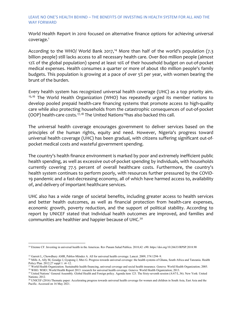World Health Report in 2010 focused on alternative finance options for achieving universal coverage.1

According to the WHO/ World Bank 2017,<sup>[14](#page-5-0)</sup> More than half of the world's population (7.3 billion people) still lacks access to all necessary health care. Over 800 million people (almost 12% of the global population) spend at least 10% of their household budget on out-of-pocket medical expenses. Health consumes a quarter or more of about 180 million people's family budgets. This population is growing at a pace of over 5% per year, with women bearing the brunt of the burden.

[E](#page-5-1)[ve](#page-5-2)ry health system has recognized universal health coverage (UHC) as a top priority aim.<br><sup>[1](#page-5-1)5,[16](#page-5-2)</sup> The World Health Organization (WHO) has repeatedly urged its member nations to develop pooled prepaid health-care financing systems that promote access to high-quality care while also protecting households from the catastrophic consequences of out-of-pocket (OOP) health-care costs.<sup>[17](#page-5-3),[18](#page-5-4)</sup> The United Nations<sup>[1](#page-5-5)9</sup>has also backed this call.

The universal health coverage encourages government to deliver services based on the principles of the human rights, equity and need. However, Nigeria's progress toward universal health coverage (UHC) has been gradual, with citizens suffering significant out-ofpocket medical costs and wasteful government spending.

The country's health finance environment is marked by poor and extremely inefficient public health spending, as well as excessive out-of-pocket spending by individuals, with households currently covering 77.5 percent of overall healthcare costs. Furthermore, the country's health system continues to perform poorly, with resources further pressured by the COVID-19 pandemic and a fast-decreasing economy, all of which have harmed access to, availability of, and delivery of important healthcare services.

UHC also has a wide range of societal benefits, including greater access to health services and better health outcomes, as well as financial protection from health-care expenses, economic growth, poverty reduction, and the support of political stability. According to report by UNICEF stated that Individual health outcomes are improved, and families and communities are healthier and happier because of UHC[.20](#page-5-6)

<span id="page-5-0"></span> $\overline{a}$ <sup>14</sup> Etienne CF. Investing in universal health in the Americas. Rev Panam Salud Publica. 2018;42: e90. https://doi.org/10.26633/RPSP.2018.90

<sup>&</sup>lt;sup>15</sup> Garrett L, Chowdhury AMR, Pablos-Méndez A. All for universal health coverage. Lancet. 2009; 374:1294-9.

<span id="page-5-2"></span><span id="page-5-1"></span><sup>&</sup>lt;sup>16</sup> Mills A, Ally M, Goudge J, Gyapong J, Mtei G. Progress towards universal coverage: the health systems of Ghana, South Africa and Tanzania. Health Policy Plan. 2012;27 suppl 1: i4–12.<br><sup>17</sup> World Health Organization. Sustainable health financing, universal coverage and social health insurance. Geneva: World Health Organization; 2005.

<span id="page-5-3"></span>

<sup>&</sup>lt;sup>18</sup> WHO. WHO | World Health Report 2013: research for universal health coverage. Geneva: World Health Organization; 2013.

<span id="page-5-5"></span><span id="page-5-4"></span><sup>&</sup>lt;sup>19</sup> United Nations' General Assembly. Global Health and Foreign policy. Agenda item 123. The Sixty-seventh session (A/67/L.36). New York: United Nations; 2012.

<span id="page-5-6"></span><sup>&</sup>lt;sup>20</sup> UNICEF (2016) Thematic paper: Accelerating progress towards universal health coverage for women and children in South Asia, East Asia and the Pacific. Accessed on 16 May 2021.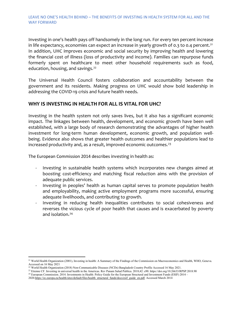Investing in one's health pays off handsomely in the long run. For every ten percent increase in life expectancy, economies can expect an increase in yearly growth of 0.3 to 0.4 percent.<sup>[21](#page-6-0)</sup> In addition, UHC improves economic and social security by improving health and lowering the financial cost of illness (loss of productivity and income). Families can repurpose funds formerly spent on healthcare to meet other household requirements such as food, education, housing, and savings.<sup>[22](#page-6-1)</sup>

The Universal Health Council fosters collaboration and accountability between the government and its residents. Making progress on UHC would show bold leadership in addressing the COVID-19 crisis and future health needs.

### **WHY IS INVESTING IN HEALTH FOR ALL IS VITAL FOR UHC?**

Investing in the health system not only saves lives, but it also has a significant economic impact. The linkages between health, development, and economic growth have been well established, with a large body of research demonstrating the advantages of higher health investment for long-term human development, economic growth, and population wellbeing. Evidence also shows that greater health outcomes and healthier populations lead to increased productivity and, as a result, improved economic outcomes. $^{23}$  $^{23}$  $^{23}$ 

The European Commission 2014 describes investing in health as:

- Investing in sustainable health systems which incorporates new changes aimed at boosting cost-efficiency and matching fiscal reduction aims with the provision of adequate public services.
- Investing in peoples' health as human capital serves to promote population health and employability, making active employment programs more successful, ensuring adequate livelihoods, and contributing to growth.
- Investing in reducing health inequalities contributes to social cohesiveness and reverses the vicious cycle of poor health that causes and is exacerbated by poverty and isolation.<sup>[24](#page-6-3)</sup>

 $\overline{a}$ 

<span id="page-6-0"></span><sup>&</sup>lt;sup>21</sup> World Health Organization (2001), Investing in health: A Summary of the Findings of the Commission on Macroeconomics and Health, WHO, Geneva. Accessed on 16 May 2021

<sup>22</sup> World Health Organization (2018) Non-Communicable Diseases (NCDs) Bangladesh Country Profile Accessed 16 May 2021.

<span id="page-6-3"></span><span id="page-6-2"></span><span id="page-6-1"></span><sup>23</sup> Etienne CF. Investing in universal health in the Americas. Rev Panam Salud Publica. 2018;42: e90. https://doi.org/10.26633/RPSP.2018.90

<sup>24</sup> European Commission. 2014. Investments in Health: Policy Guide for the European Structural and Investment Funds (ESIF) 2014 –

<sup>202</sup>[0.https://ec.europa.eu/health/sites/default/files/health\\_structural\\_funds/docs/esif\\_guide\\_en.pdf.](https://ec.europa.eu/health/sites/default/files/health_structural_funds/docs/esif_guide_en.pdf) Accessed March 2014